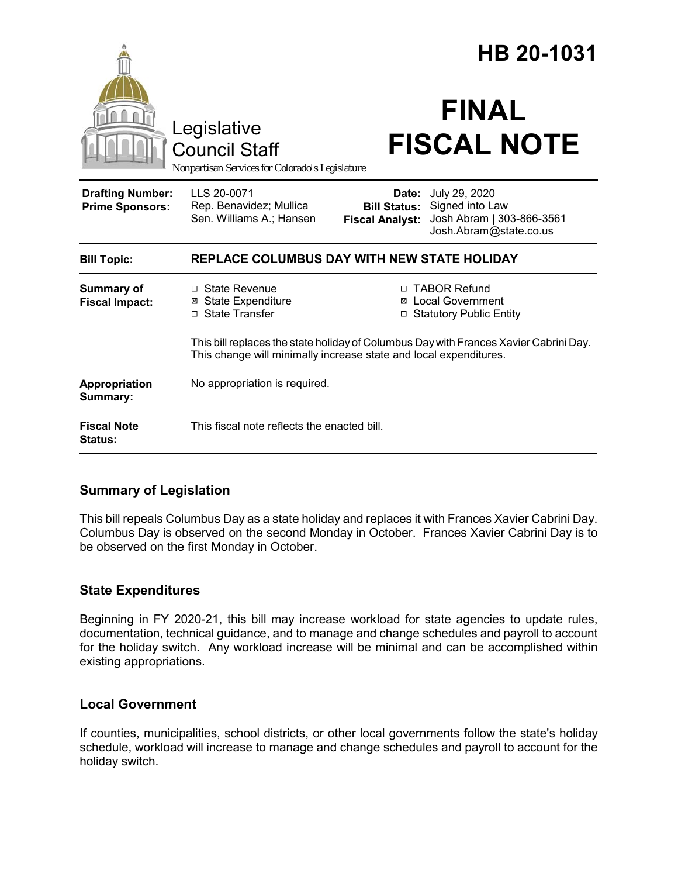|                                                   | Legislative<br><b>Council Staff</b>                                                                                                                        | HB 20-1031<br><b>FINAL</b><br><b>FISCAL NOTE</b>                                                                                               |
|---------------------------------------------------|------------------------------------------------------------------------------------------------------------------------------------------------------------|------------------------------------------------------------------------------------------------------------------------------------------------|
|                                                   | Nonpartisan Services for Colorado's Legislature                                                                                                            |                                                                                                                                                |
| <b>Drafting Number:</b><br><b>Prime Sponsors:</b> | LLS 20-0071<br>Rep. Benavidez; Mullica<br>Sen. Williams A.; Hansen                                                                                         | Date: July 29, 2020<br>Signed into Law<br><b>Bill Status:</b><br>Josh Abram   303-866-3561<br><b>Fiscal Analyst:</b><br>Josh.Abram@state.co.us |
| <b>Bill Topic:</b>                                | REPLACE COLUMBUS DAY WITH NEW STATE HOLIDAY                                                                                                                |                                                                                                                                                |
| <b>Summary of</b><br><b>Fiscal Impact:</b>        | $\Box$ State Revenue<br><b>⊠</b> State Expenditure<br>□ State Transfer                                                                                     | □ TABOR Refund<br><b>Local Government</b><br><b>Statutory Public Entity</b><br>□                                                               |
|                                                   | This bill replaces the state holiday of Columbus Day with Frances Xavier Cabrini Day.<br>This change will minimally increase state and local expenditures. |                                                                                                                                                |
| Appropriation<br>Summary:                         | No appropriation is required.                                                                                                                              |                                                                                                                                                |
| <b>Fiscal Note</b><br><b>Status:</b>              | This fiscal note reflects the enacted bill.                                                                                                                |                                                                                                                                                |

# **Summary of Legislation**

This bill repeals Columbus Day as a state holiday and replaces it with Frances Xavier Cabrini Day. Columbus Day is observed on the second Monday in October. Frances Xavier Cabrini Day is to be observed on the first Monday in October.

#### **State Expenditures**

Beginning in FY 2020-21, this bill may increase workload for state agencies to update rules, documentation, technical guidance, and to manage and change schedules and payroll to account for the holiday switch. Any workload increase will be minimal and can be accomplished within existing appropriations.

#### **Local Government**

If counties, municipalities, school districts, or other local governments follow the state's holiday schedule, workload will increase to manage and change schedules and payroll to account for the holiday switch.